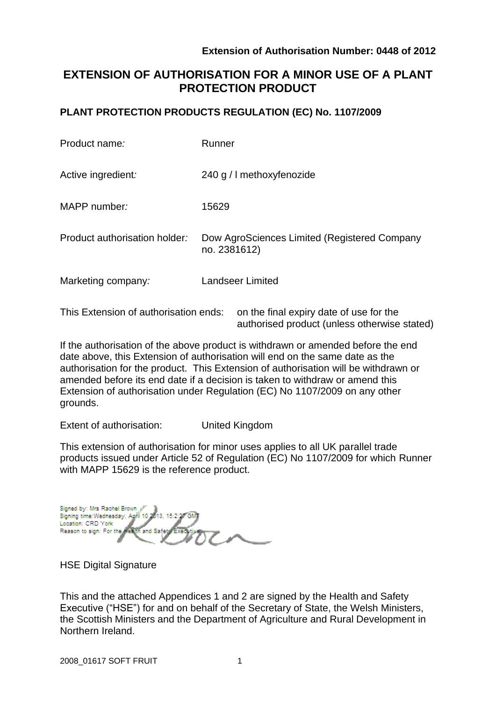# **EXTENSION OF AUTHORISATION FOR A MINOR USE OF A PLANT PROTECTION PRODUCT**

### **PLANT PROTECTION PRODUCTS REGULATION (EC) No. 1107/2009**

| Product name:                         | Runner                                                       |
|---------------------------------------|--------------------------------------------------------------|
| Active ingredient:                    | 240 g / I methoxyfenozide                                    |
| MAPP number:                          | 15629                                                        |
| Product authorisation holder:         | Dow AgroSciences Limited (Registered Company<br>no. 2381612) |
| Marketing company:                    | <b>Landseer Limited</b>                                      |
| This Extension of authorisation ends: | on the final expiry date of use for the                      |

authorised product (unless otherwise stated)

If the authorisation of the above product is withdrawn or amended before the end date above, this Extension of authorisation will end on the same date as the authorisation for the product. This Extension of authorisation will be withdrawn or amended before its end date if a decision is taken to withdraw or amend this Extension of authorisation under Regulation (EC) No 1107/2009 on any other grounds.

Extent of authorisation: United Kingdom

This extension of authorisation for minor uses applies to all UK parallel trade products issued under Article 52 of Regulation (EC) No 1107/2009 for which Runner with MAPP 15629 is the reference product.

Signed by: Mrs Rachel Brown Signing time: Wednesday, April 10 2013, Location: CRD York Reason to sign: For the and Saf

HSE Digital Signature

This and the attached Appendices 1 and 2 are signed by the Health and Safety Executive ("HSE") for and on behalf of the Secretary of State, the Welsh Ministers, the Scottish Ministers and the Department of Agriculture and Rural Development in Northern Ireland.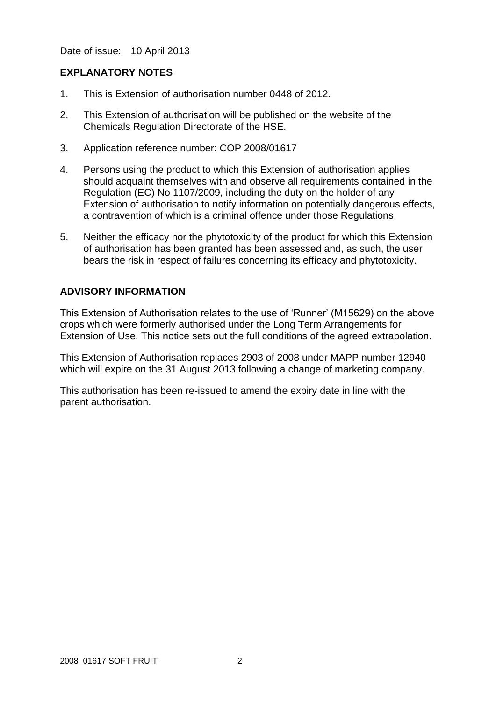Date of issue: 10 April 2013

### **EXPLANATORY NOTES**

- 1. This is Extension of authorisation number 0448 of 2012.
- 2. This Extension of authorisation will be published on the website of the Chemicals Regulation Directorate of the HSE.
- 3. Application reference number: COP 2008/01617
- 4. Persons using the product to which this Extension of authorisation applies should acquaint themselves with and observe all requirements contained in the Regulation (EC) No 1107/2009, including the duty on the holder of any Extension of authorisation to notify information on potentially dangerous effects, a contravention of which is a criminal offence under those Regulations.
- 5. Neither the efficacy nor the phytotoxicity of the product for which this Extension of authorisation has been granted has been assessed and, as such, the user bears the risk in respect of failures concerning its efficacy and phytotoxicity.

### **ADVISORY INFORMATION**

This Extension of Authorisation relates to the use of 'Runner' (M15629) on the above crops which were formerly authorised under the Long Term Arrangements for Extension of Use. This notice sets out the full conditions of the agreed extrapolation.

This Extension of Authorisation replaces 2903 of 2008 under MAPP number 12940 which will expire on the 31 August 2013 following a change of marketing company.

This authorisation has been re-issued to amend the expiry date in line with the parent authorisation.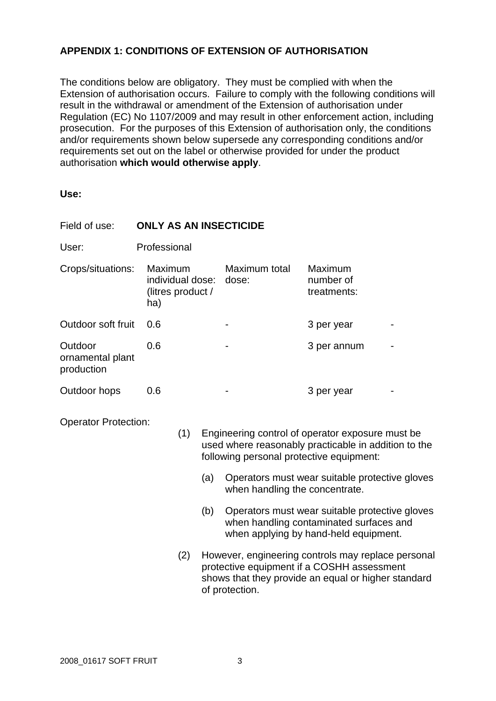## **APPENDIX 1: CONDITIONS OF EXTENSION OF AUTHORISATION**

The conditions below are obligatory. They must be complied with when the Extension of authorisation occurs. Failure to comply with the following conditions will result in the withdrawal or amendment of the Extension of authorisation under Regulation (EC) No 1107/2009 and may result in other enforcement action, including prosecution. For the purposes of this Extension of authorisation only, the conditions and/or requirements shown below supersede any corresponding conditions and/or requirements set out on the label or otherwise provided for under the product authorisation **which would otherwise apply**.

#### **Use:**

| Field of use:                             | <b>ONLY AS AN INSECTICIDE</b> |                                                  |            |                                                                                                                                                                                        |                                                                                                                                                                                      |  |  |
|-------------------------------------------|-------------------------------|--------------------------------------------------|------------|----------------------------------------------------------------------------------------------------------------------------------------------------------------------------------------|--------------------------------------------------------------------------------------------------------------------------------------------------------------------------------------|--|--|
| User:                                     | Professional                  |                                                  |            |                                                                                                                                                                                        |                                                                                                                                                                                      |  |  |
| Crops/situations:                         | ha)                           | Maximum<br>individual dose:<br>(litres product / |            | Maximum total<br>dose:                                                                                                                                                                 | Maximum<br>number of<br>treatments:                                                                                                                                                  |  |  |
| Outdoor soft fruit                        | 0.6                           |                                                  |            |                                                                                                                                                                                        | 3 per year                                                                                                                                                                           |  |  |
| Outdoor<br>ornamental plant<br>production | 0.6                           |                                                  |            |                                                                                                                                                                                        | 3 per annum                                                                                                                                                                          |  |  |
| Outdoor hops                              | 0.6                           |                                                  |            |                                                                                                                                                                                        | 3 per year                                                                                                                                                                           |  |  |
| <b>Operator Protection:</b>               |                               | (1)                                              | (a)<br>(b) | Engineering control of operator exposure must be<br>used where reasonably practicable in addition to the<br>following personal protective equipment:<br>when handling the concentrate. | Operators must wear suitable protective gloves<br>Operators must wear suitable protective gloves<br>when handling contaminated surfaces and<br>when applying by hand-held equipment. |  |  |
|                                           |                               | (2)                                              |            | However, engineering controls may replace personal<br>protective equipment if a COSHH assessment<br>shows that they provide an equal or higher standard<br>of protection.              |                                                                                                                                                                                      |  |  |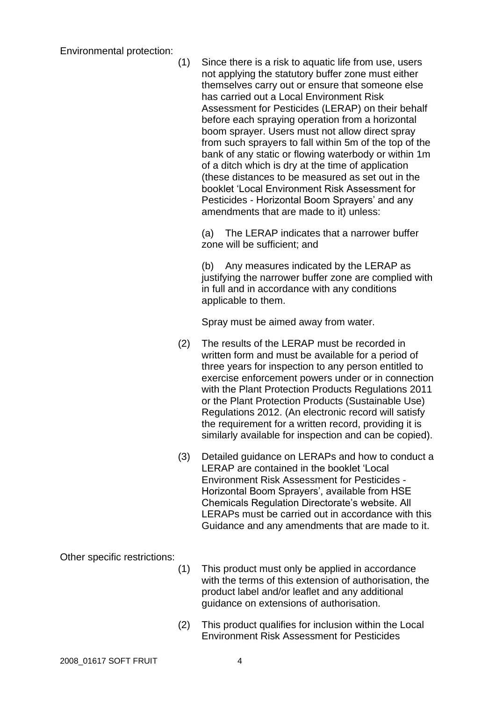Environmental protection:

| (1) | Since there is a risk to aquatic life from use, users<br>not applying the statutory buffer zone must either<br>themselves carry out or ensure that someone else<br>has carried out a Local Environment Risk<br>Assessment for Pesticides (LERAP) on their behalf<br>before each spraying operation from a horizontal<br>boom sprayer. Users must not allow direct spray<br>from such sprayers to fall within 5m of the top of the<br>bank of any static or flowing waterbody or within 1m<br>of a ditch which is dry at the time of application<br>(these distances to be measured as set out in the<br>booklet 'Local Environment Risk Assessment for<br>Pesticides - Horizontal Boom Sprayers' and any |
|-----|----------------------------------------------------------------------------------------------------------------------------------------------------------------------------------------------------------------------------------------------------------------------------------------------------------------------------------------------------------------------------------------------------------------------------------------------------------------------------------------------------------------------------------------------------------------------------------------------------------------------------------------------------------------------------------------------------------|
|     | amendments that are made to it) unless:                                                                                                                                                                                                                                                                                                                                                                                                                                                                                                                                                                                                                                                                  |

(a) The LERAP indicates that a narrower buffer zone will be sufficient; and

(b) Any measures indicated by the LERAP as justifying the narrower buffer zone are complied with in full and in accordance with any conditions applicable to them.

Spray must be aimed away from water.

- (2) The results of the LERAP must be recorded in written form and must be available for a period of three years for inspection to any person entitled to exercise enforcement powers under or in connection with the Plant Protection Products Regulations 2011 or the Plant Protection Products (Sustainable Use) Regulations 2012. (An electronic record will satisfy the requirement for a written record, providing it is similarly available for inspection and can be copied).
- (3) Detailed guidance on LERAPs and how to conduct a LERAP are contained in the booklet 'Local Environment Risk Assessment for Pesticides - Horizontal Boom Sprayers', available from HSE Chemicals Regulation Directorate's website. All LERAPs must be carried out in accordance with this Guidance and any amendments that are made to it.

Other specific restrictions:

- (1) This product must only be applied in accordance with the terms of this extension of authorisation, the product label and/or leaflet and any additional guidance on extensions of authorisation.
- (2) This product qualifies for inclusion within the Local Environment Risk Assessment for Pesticides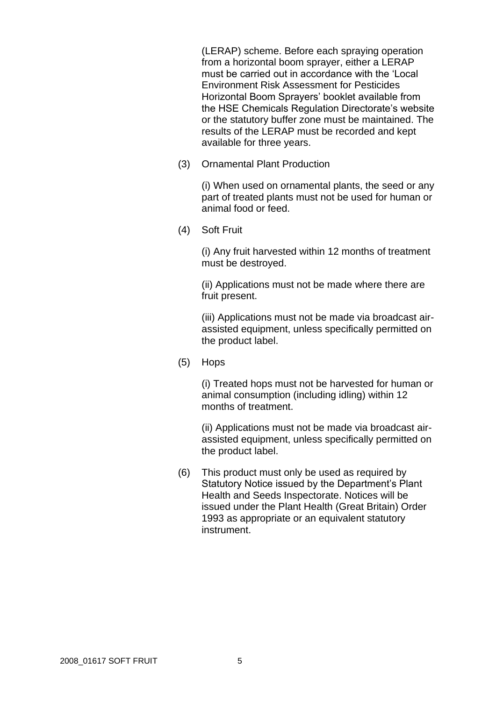(LERAP) scheme. Before each spraying operation from a horizontal boom sprayer, either a LERAP must be carried out in accordance with the 'Local Environment Risk Assessment for Pesticides Horizontal Boom Sprayers' booklet available from the HSE Chemicals Regulation Directorate's website or the statutory buffer zone must be maintained. The results of the LERAP must be recorded and kept available for three years.

(3) Ornamental Plant Production

(i) When used on ornamental plants, the seed or any part of treated plants must not be used for human or animal food or feed.

(4) Soft Fruit

(i) Any fruit harvested within 12 months of treatment must be destroyed.

(ii) Applications must not be made where there are fruit present.

(iii) Applications must not be made via broadcast airassisted equipment, unless specifically permitted on the product label.

(5) Hops

(i) Treated hops must not be harvested for human or animal consumption (including idling) within 12 months of treatment.

(ii) Applications must not be made via broadcast airassisted equipment, unless specifically permitted on the product label.

(6) This product must only be used as required by Statutory Notice issued by the Department's Plant Health and Seeds Inspectorate. Notices will be issued under the Plant Health (Great Britain) Order 1993 as appropriate or an equivalent statutory instrument.